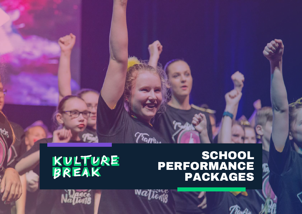# SCHOOL PERFORMANCE PACKAGES

Trantis

Wation

**KULTURE**<br>BREAK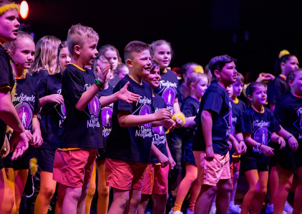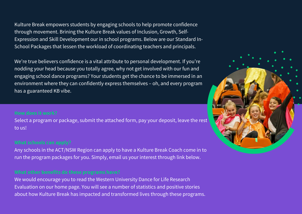Kulture Break empowers students by engaging schools to help promote confidence through movement. Brining the Kulture Break values of Inclusion, Growth, Self-Expression and Skill Development our in school programs. Below are our Standard In-School Packages that lessen the workload of coordinating teachers and principals.

We're true believers confidence is a vital attribute to personal development. If you're nodding your head because you totally agree, why not get involved with our fun and engaging school dance programs? Your students get the chance to be immersed in an environment where they can confidently express themselves – oh, and every program has a guaranteed KB vibe.

### **How does it work?**

Select a program or package, submit the attached form, pay your deposit, leave the rest to us!

Any schools in the ACT/NSW Region can apply to have a Kulture Break Coach come in to run the program packages for you. Simply, email us your interest through link below.

We would encourage you to read the Western University Dance for Life Research Evaluation on our home page. You will see a number of statistics and positive stories about how Kulture Break has impacted and transformed lives through these programs.

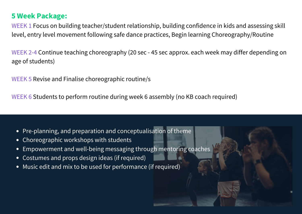### **5 Week Package:**

WEEK 1 Focus on building teacher/student relationship, building confidence in kids and assessing skill level, entry level movement following safe dance practices, Begin learning Choreography/Routine

WEEK 2-4 Continue teaching choreography (20 sec - 45 sec approx. each week may differ depending on age of students)

WEEK 5 Revise and Finalise choreographic routine/s

WEEK 6 Students to perform routine during week 6 assembly (no KB coach required)

- Pre-planning, and preparation and conceptualisation of theme  $\bullet$
- Choreographic workshops with students
- Empowerment and well-being messaging through mentoring coaches
- Costumes and props design ideas (if required)  $\bullet$
- Music edit and mix to be used for performance (if required)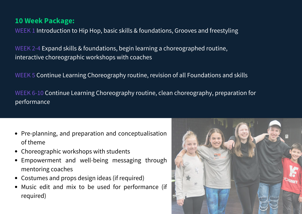## **10 Week Package:**

WEEK 1 Introduction to Hip Hop, basic skills & foundations, Grooves and freestyling

WEEK 2-4 Expand skills & foundations, begin learning a choreographed routine, interactive choreographic workshops with coaches

WEEK 5 Continue Learning Choreography routine, revision of all Foundations and skills

WEEK 6-10 Continue Learning Choreography routine, clean choreography, preparation for performance

- Pre-planning, and preparation and conceptualisation of theme
- Choreographic workshops with students
- Empowerment and well-being messaging through mentoring coaches
- Costumes and props design ideas (if required)
- Music edit and mix to be used for performance (if required)